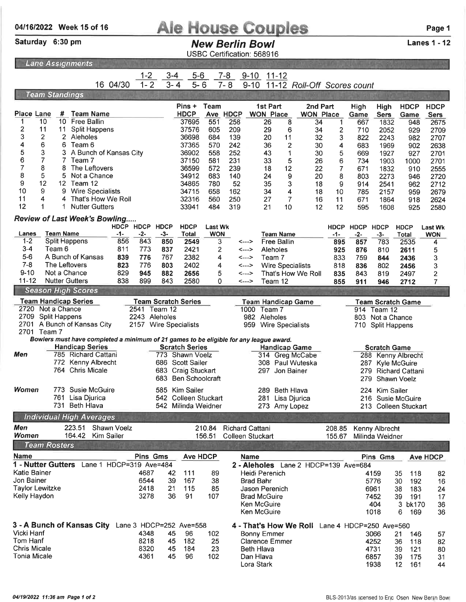## 04/16/2022 Week 15 of 16 **Ale House Couples** Page 1<br>
Saturday 6:30 pm<br>
New Rerlin Rowl Lanes 1 - 12

Lanes 1 - 12

## **New Berlin Bowl**

USBC Certification: 568916

 $L$ ane Assignments

|                                                      | Lund Assignments                                                                       |             |                                                                                                      |                      |                            |                                |                  |                                             |                         |                                      |                     |             |                     |                          |                 |
|------------------------------------------------------|----------------------------------------------------------------------------------------|-------------|------------------------------------------------------------------------------------------------------|----------------------|----------------------------|--------------------------------|------------------|---------------------------------------------|-------------------------|--------------------------------------|---------------------|-------------|---------------------|--------------------------|-----------------|
|                                                      |                                                                                        |             | 1-2                                                                                                  | $3 - 4$              | $5 - 6$                    |                                | $7 - 8$          | $9 - 10$                                    | $11 - 12$               |                                      |                     |             |                     |                          |                 |
|                                                      |                                                                                        | 16 04/30    | $1 - 2$                                                                                              | $3 - 4$              | $5 - 6$                    |                                | $7 - 8$          | $9 - 10$                                    |                         | 11-12 Roll-Off Scores count          |                     |             |                     |                          |                 |
|                                                      | <b>Team Standings</b>                                                                  |             |                                                                                                      |                      |                            |                                |                  |                                             |                         |                                      |                     |             |                     |                          |                 |
|                                                      |                                                                                        |             |                                                                                                      |                      | Pins +                     | Team                           |                  | 1st Part                                    |                         | 2nd Part                             |                     | High        | High                | <b>HDCP</b>              | <b>HDCP</b>     |
| <b>Place Lane</b>                                    | <b>Team Name</b><br>#                                                                  |             |                                                                                                      |                      | <b>HDCP</b>                |                                | Ave HDCP         | <b>WON Place</b>                            |                         | <b>WON Place</b>                     |                     | Game        | <b>Sers</b>         | Game                     | <b>Sers</b>     |
| 10                                                   | 10 Free Ballin                                                                         |             |                                                                                                      |                      | 37695                      | 551                            | 258              | 26                                          | 8                       | 34                                   | $\mathbf{1}$        | 667         | 1832                | 948                      | 2675            |
| 2<br>11                                              | 11<br><b>Split Happens</b>                                                             |             |                                                                                                      |                      | 37576                      | 605                            | 209              | 29                                          | 6                       | 34                                   | 2                   | 710         | 2052                | 929                      | 2709            |
| 3<br>2                                               | 2 Aleholes                                                                             |             |                                                                                                      |                      | 36698                      | 684                            | 139              | 20                                          | 11                      | 32                                   | 3                   | 822         | 2243                | 982                      | 2707            |
| 4<br>6                                               | 6 Team 6                                                                               |             |                                                                                                      |                      | 37365                      | 570                            | 242              | 36                                          | 2                       | 30                                   | 4                   | 683         | 1969                | 902                      | 2638            |
| 5<br>3                                               | 3.<br>A Bunch of Kansas City<br>$\overline{7}$                                         |             |                                                                                                      |                      | 36902                      | 558                            | 252              | 43                                          | 1                       | 30                                   | 5                   | 669         | 1927                | 927                      | 2701            |
| 6<br>7<br>7<br>8                                     | Team 7<br>8<br>The Leftovers                                                           |             |                                                                                                      |                      | 37150<br>36599             | 581                            | 231              | 33                                          | 5                       | 26                                   | 6                   | 734         | 1903                | 1000                     | 2701            |
| 8<br>5                                               | 5<br>Not a Chance                                                                      |             |                                                                                                      |                      | 34912                      | 572<br>683                     | 239<br>140       | 18<br>24                                    | 12<br>9                 | 22<br>20                             | $\overline{7}$<br>8 | 671<br>803  | 1832<br>2273        | 910                      | 2555            |
| 9<br>12                                              | 12 Team 12                                                                             |             |                                                                                                      |                      | 34865                      | 780                            | 52               | 35                                          | 3                       | 18                                   | 9                   | 914         | 2541                | 946<br>962               | 2720<br>2712    |
| 10<br>9                                              | 9<br><b>Wire Specialists</b>                                                           |             |                                                                                                      |                      | 34715                      | 658                            | 162              | 34                                          | 4                       | 18                                   | 10                  | 785         | 2157                | 959                      | 2679            |
| 11<br>4                                              | 4 That's How We Roll                                                                   |             |                                                                                                      |                      | 32316                      | 560                            | 250              | 27                                          | 7                       | 16                                   | 11                  | 671         | 1864                | 918                      | 2624            |
| 12<br>1                                              | <b>Nutter Gutters</b>                                                                  |             |                                                                                                      |                      | 33941                      | 484                            | 319              | 21                                          | 10                      | 12                                   | 12                  | 595         | 1608                | 925                      | 2580            |
|                                                      |                                                                                        |             |                                                                                                      |                      |                            |                                |                  |                                             |                         |                                      |                     |             |                     |                          |                 |
|                                                      | Review of Last Week's Bowling                                                          | HDCP HDCP   |                                                                                                      | <b>HDCP</b>          | <b>HDCP</b>                | <b>Last Wk</b>                 |                  |                                             |                         |                                      | <b>HDCP</b>         | <b>HDCP</b> | <b>HDCP</b>         | <b>HDCP</b>              | <b>Last Wk</b>  |
| Lanes                                                | <b>Team Name</b>                                                                       | -1-         | -2-                                                                                                  | -3-                  | <b>Total</b>               | <b>WON</b>                     |                  |                                             | <b>Team Name</b>        |                                      | $-1-$               | $-2-$       | $-3-$               | Total                    | <b>WON</b>      |
| $1 - 2$                                              | Split Happens                                                                          | 856         | 843                                                                                                  | 850                  | 2549                       | 3                              |                  | <--->                                       | <b>Free Ballin</b>      |                                      | 895                 | 857         | 783                 | 2535                     | 4               |
| $3 - 4$                                              | Team 6                                                                                 | 811         | 773                                                                                                  | 837                  | 2421                       | 2                              |                  | <--->                                       | Aleholes                |                                      | 925                 | 876         | 810                 | 2611                     | 5               |
| $5-6$                                                | A Bunch of Kansas                                                                      | 839         | 776                                                                                                  | 767                  | 2382                       | 4                              |                  | <--->                                       | Team 7                  |                                      | 833                 | 759         | 844                 | 2436                     | 3               |
| $7 - 8$                                              | The Leftovers                                                                          | 823         | 776                                                                                                  | 803                  | 2402                       | 4                              |                  | <--->                                       | <b>Wire Specialists</b> |                                      | 818                 | 836         | 802                 | 2456                     | 3               |
| $9 - 10$                                             | Not a Chance                                                                           | 829         | 945                                                                                                  | 882                  | 2656                       | 5                              |                  | <--->                                       |                         | That's How We Roll                   | 835                 | 843         | 819                 | 2497                     | 2               |
| 11-12                                                | <b>Nutter Gutters</b>                                                                  | 838         | 899                                                                                                  | 843                  | 2580                       | 0                              |                  | <--->                                       | Team 12                 |                                      | 855                 | 911         | 946                 | 2712                     | 7               |
|                                                      | <b>Season High Scores</b>                                                              |             |                                                                                                      |                      |                            |                                |                  |                                             |                         |                                      |                     |             |                     |                          |                 |
|                                                      | <b>Team Handicap Series</b>                                                            |             |                                                                                                      |                      | <b>Team Scratch Series</b> |                                |                  | <b>Team Handicap Game</b>                   |                         |                                      |                     |             |                     | <b>Team Scratch Game</b> |                 |
| 2720 Not a Chance                                    |                                                                                        |             | 2541 Team 12                                                                                         |                      |                            |                                |                  | 1000                                        | Team 7                  |                                      |                     |             | 914 Team 12         |                          |                 |
| 2709<br><b>Split Happens</b><br>2243 Aleholes        |                                                                                        |             |                                                                                                      |                      |                            |                                | 982 Aleholes     |                                             |                         |                                      | 803 Not a Chance    |             |                     |                          |                 |
| 2701 A Bunch of Kansas City<br>2157 Wire Specialists |                                                                                        |             |                                                                                                      |                      |                            | 959<br><b>Wire Specialists</b> |                  |                                             |                         | 710 Split Happens                    |                     |             |                     |                          |                 |
| 2701 Team 7                                          | Bowlers must have completed a minimum of 21 games to be eligible for any league award. |             |                                                                                                      |                      |                            |                                |                  |                                             |                         |                                      |                     |             |                     |                          |                 |
|                                                      | <b>Handicap Series</b>                                                                 |             |                                                                                                      |                      | <b>Scratch Series</b>      |                                |                  |                                             | <b>Handicap Game</b>    |                                      |                     |             | <b>Scratch Game</b> |                          |                 |
| Men                                                  | 785 Richard Cattani                                                                    |             |                                                                                                      |                      | 773 Shawn Voelz            |                                |                  |                                             |                         | 314 Greg McCabe                      |                     |             |                     | 288 Kenny Albrecht       |                 |
|                                                      | 772 Kenny Albrecht                                                                     |             |                                                                                                      |                      | 686 Scott Sailer           |                                |                  |                                             |                         | 308 Paul Wuteska                     |                     | 287         |                     | <b>Kyle McGuire</b>      |                 |
| 764 Chris Micale                                     |                                                                                        |             |                                                                                                      | 683 Craig Stuckart   |                            | 297 Jon Bainer                 |                  |                                             |                         | 279.<br><b>Richard Cattani</b>       |                     |             |                     |                          |                 |
|                                                      |                                                                                        |             |                                                                                                      |                      | 683 Ben Schoolcraft        |                                |                  |                                             |                         |                                      |                     | 279         | Shawn Voelz         |                          |                 |
| Women                                                | 773 Susie McGuire                                                                      |             |                                                                                                      |                      | 585 Kim Sailer             |                                |                  |                                             | 289 Beth Hlava          |                                      |                     | 224         | <b>Kim Sailer</b>   |                          |                 |
| 761<br>Lisa Djurica                                  |                                                                                        |             |                                                                                                      | 542 Colleen Stuckart |                            |                                |                  | 281 Lisa Djurica                            |                         |                                      |                     |             | 216 Susie McGuire   |                          |                 |
|                                                      | 731 Beth Hlava                                                                         |             |                                                                                                      |                      | 542 Milinda Weidner        |                                |                  |                                             | 273 Amy Lopez           |                                      |                     |             |                     | 213 Colleen Stuckart     |                 |
|                                                      | <b>Individual High Averages</b>                                                        |             |                                                                                                      |                      |                            |                                |                  |                                             |                         |                                      |                     |             |                     |                          |                 |
| <b>Men</b>                                           | 223.51                                                                                 | Shawn Voelz |                                                                                                      |                      |                            | 210.84                         |                  | <b>Richard Cattani</b>                      |                         |                                      | 208.85              |             | Kenny Albrecht      |                          |                 |
| Women                                                | 164.42<br><b>Kim Sailer</b>                                                            |             |                                                                                                      |                      |                            | 156.51                         |                  | <b>Colleen Stuckart</b>                     |                         |                                      | 155.67              |             | Milinda Weidner     |                          |                 |
| <b>Team Rosters</b>                                  |                                                                                        |             |                                                                                                      |                      |                            |                                |                  |                                             |                         |                                      |                     |             |                     |                          |                 |
| <b>Name</b>                                          |                                                                                        |             | Pins Gms                                                                                             |                      | Ave HDCP                   |                                |                  | <b>Name</b>                                 |                         |                                      |                     |             | Pins Gms            |                          | <b>Ave HDCP</b> |
| 1 - Nutter Gutters                                   | Lane 1 HDCP=319 Ave=484                                                                |             |                                                                                                      |                      |                            |                                |                  |                                             |                         | 2 - Aleholes Lane 2 HDCP=139 Ave=684 |                     |             |                     |                          |                 |
| Katie Bainer                                         |                                                                                        |             | 4687                                                                                                 | 42                   | 111                        | 89                             |                  | Heidi Perenich                              |                         |                                      |                     |             | 4159                | 35<br>118                | 82              |
| Jon Bainer                                           |                                                                                        | 6544        | 39                                                                                                   | 167                  | 38                         |                                | <b>Brad Bahr</b> |                                             |                         |                                      |                     | 5776        | 30<br>192           | 16                       |                 |
| <b>Taylor Lewitzke</b><br>2418                       |                                                                                        |             | 21                                                                                                   | 115                  | 85                         |                                | Jason Perenich   |                                             |                         |                                      |                     | 6961        | 38<br>183           | 24                       |                 |
| Kelly Haydon                                         |                                                                                        |             | 3278                                                                                                 | 36                   | 91                         | 107                            |                  | <b>Brad McGuire</b>                         |                         |                                      |                     |             | 7452                | 39<br>191                | 17              |
|                                                      |                                                                                        |             |                                                                                                      |                      |                            |                                |                  | Ken McGuire                                 |                         |                                      |                     |             | 404                 | 3<br>bk170               | 36              |
|                                                      |                                                                                        |             |                                                                                                      |                      |                            |                                |                  | Ken McGuire                                 |                         |                                      |                     |             | 1018                | 6<br>169                 | 36              |
|                                                      |                                                                                        |             | 3 - A Bunch of Kansas City Lane 3 HDCP=252 Ave=558<br>4 - That's How We Roll Lane 4 HDCP=250 Ave=560 |                      |                            |                                |                  |                                             |                         |                                      |                     |             |                     |                          |                 |
|                                                      |                                                                                        |             |                                                                                                      |                      |                            |                                |                  |                                             |                         |                                      |                     |             |                     |                          |                 |
| Vicki Hanf                                           |                                                                                        |             | 4348                                                                                                 | 45                   | 96                         | 102                            |                  |                                             |                         |                                      |                     |             | 3066                | 21<br>146                |                 |
| Tom Hanf                                             |                                                                                        |             | 8218                                                                                                 | 45                   | 182                        | 25                             |                  | <b>Bonny Emmer</b><br><b>Clarence Emmer</b> |                         |                                      |                     |             | 4252                | 36<br>118                | 57<br>82        |
| <b>Chris Micale</b><br><b>Tonia Micale</b>           |                                                                                        |             | 8320                                                                                                 | 45                   | 184                        | 23                             |                  | <b>Beth Hlava</b>                           |                         |                                      |                     |             | 4731                | 39<br>121                | 80              |

Lora Stark

1938 12 <sup>161</sup>

44

<u> The Company of the Company of the Company of the Company of the Company of the Company of the Company of the Company of the Company of the Company of the Company of the Company of the Company of the Company of the Compan</u>